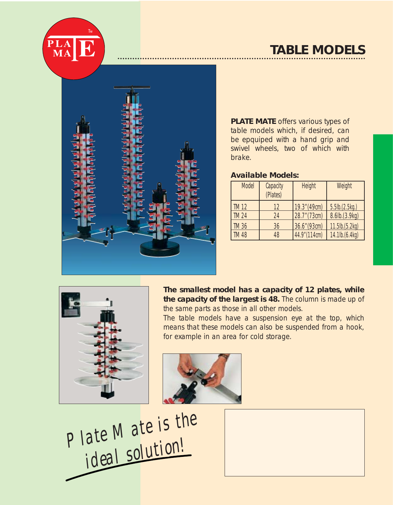## **TABLE MODELS**





**PLATE MATE** offers various types of table models which, if desired, can be epquiped with a hand grip and swivel wheels, two of which with brake.

## **Available Models:**

| Model        | Capacity<br>(Plates) | <b>Height</b> | Weight                |
|--------------|----------------------|---------------|-----------------------|
| <b>TM 12</b> | 12                   | 19.3" (49cm)  | $5.5$ lb. $(2.5$ kg.) |
| <b>TM 24</b> | 24                   | 28.7''(73cm)  | 8.6lb.(3.9kg)         |
| <b>TM 36</b> | 36                   | 36.6" (93cm)  | $11.5$ lb. $(5.2$ kg) |
| <b>TM 48</b> | 48                   | 44.9" (114cm) | 14.1lb.(6.4kg)        |



**The smallest model has a capacity of 12 plates, while the capacity of the largest is 48.** The column is made up of the same parts as those in all other models.

The table models have a suspension eye at the top, which means that these models can also be suspended from a hook, for example in an area for cold storage.



*Plate Mate is the ideal solution!*